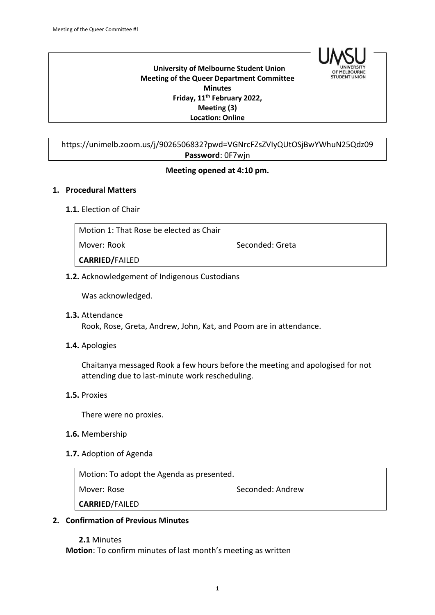

 **University of Melbourne Student Union Meeting of the Queer Department Committee Minutes Friday, 11th February 2022, Meeting (3) Location: Online**

https://unimelb.zoom.us/j/9026506832?pwd=VGNrcFZsZVIyQUtOSjBwYWhuN25Qdz09 **Password**: 0F7wjn

#### **Meeting opened at 4:10 pm.**

#### **1. Procedural Matters**

#### **1.1.** Election of Chair

| Motion 1: That Rose be elected as Chair |                 |
|-----------------------------------------|-----------------|
| Mover: Rook                             | Seconded: Greta |
| <b>CARRIED/FAILED</b>                   |                 |
|                                         |                 |

**1.2.** Acknowledgement of Indigenous Custodians

Was acknowledged.

- **1.3.** Attendance Rook, Rose, Greta, Andrew, John, Kat, and Poom are in attendance.
- **1.4.** Apologies

Chaitanya messaged Rook a few hours before the meeting and apologised for not attending due to last-minute work rescheduling.

**1.5.** Proxies

There were no proxies.

- **1.6.** Membership
- **1.7.** Adoption of Agenda

Motion: To adopt the Agenda as presented. Mover: Rose Seconded: Andrew **CARRIED**/FAILED

#### **2. Confirmation of Previous Minutes**

**2.1** Minutes **Motion**: To confirm minutes of last month's meeting as written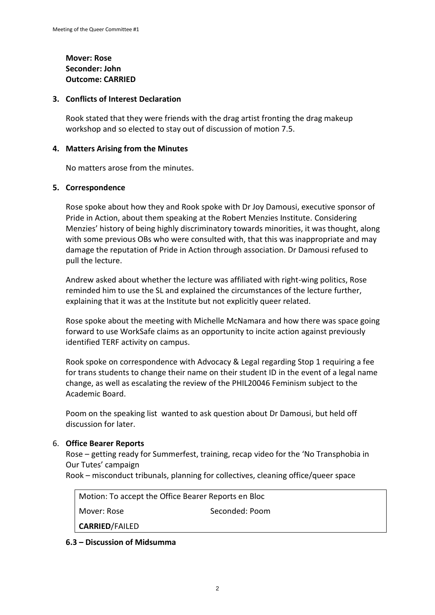# **Mover: Rose Seconder: John Outcome: CARRIED**

### **3. Conflicts of Interest Declaration**

Rook stated that they were friends with the drag artist fronting the drag makeup workshop and so elected to stay out of discussion of motion 7.5.

### **4. Matters Arising from the Minutes**

No matters arose from the minutes.

#### **5. Correspondence**

Rose spoke about how they and Rook spoke with Dr Joy Damousi, executive sponsor of Pride in Action, about them speaking at the Robert Menzies Institute. Considering Menzies' history of being highly discriminatory towards minorities, it was thought, along with some previous OBs who were consulted with, that this was inappropriate and may damage the reputation of Pride in Action through association. Dr Damousi refused to pull the lecture.

Andrew asked about whether the lecture was affiliated with right-wing politics, Rose reminded him to use the SL and explained the circumstances of the lecture further, explaining that it was at the Institute but not explicitly queer related.

Rose spoke about the meeting with Michelle McNamara and how there was space going forward to use WorkSafe claims as an opportunity to incite action against previously identified TERF activity on campus.

Rook spoke on correspondence with Advocacy & Legal regarding Stop 1 requiring a fee for trans students to change their name on their student ID in the event of a legal name change, as well as escalating the review of the PHIL20046 Feminism subject to the Academic Board.

Poom on the speaking list wanted to ask question about Dr Damousi, but held off discussion for later.

# 6. **Office Bearer Reports**

Rose – getting ready for Summerfest, training, recap video for the 'No Transphobia in Our Tutes' campaign

Rook – misconduct tribunals, planning for collectives, cleaning office/queer space

Motion: To accept the Office Bearer Reports en Bloc

Mover: Rose Seconded: Poom

**CARRIED**/FAILED

# **6.3 – Discussion of Midsumma**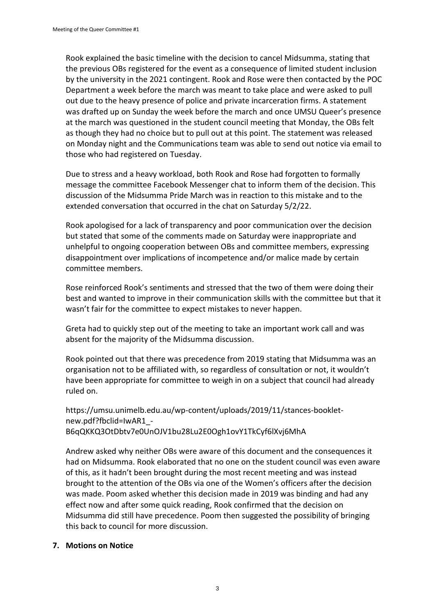Rook explained the basic timeline with the decision to cancel Midsumma, stating that the previous OBs registered for the event as a consequence of limited student inclusion by the university in the 2021 contingent. Rook and Rose were then contacted by the POC Department a week before the march was meant to take place and were asked to pull out due to the heavy presence of police and private incarceration firms. A statement was drafted up on Sunday the week before the march and once UMSU Queer's presence at the march was questioned in the student council meeting that Monday, the OBs felt as though they had no choice but to pull out at this point. The statement was released on Monday night and the Communications team was able to send out notice via email to those who had registered on Tuesday.

Due to stress and a heavy workload, both Rook and Rose had forgotten to formally message the committee Facebook Messenger chat to inform them of the decision. This discussion of the Midsumma Pride March was in reaction to this mistake and to the extended conversation that occurred in the chat on Saturday 5/2/22.

Rook apologised for a lack of transparency and poor communication over the decision but stated that some of the comments made on Saturday were inappropriate and unhelpful to ongoing cooperation between OBs and committee members, expressing disappointment over implications of incompetence and/or malice made by certain committee members.

Rose reinforced Rook's sentiments and stressed that the two of them were doing their best and wanted to improve in their communication skills with the committee but that it wasn't fair for the committee to expect mistakes to never happen.

Greta had to quickly step out of the meeting to take an important work call and was absent for the majority of the Midsumma discussion.

Rook pointed out that there was precedence from 2019 stating that Midsumma was an organisation not to be affiliated with, so regardless of consultation or not, it wouldn't have been appropriate for committee to weigh in on a subject that council had already ruled on.

https://umsu.unimelb.edu.au/wp-content/uploads/2019/11/stances-bookletnew.pdf?fbclid=IwAR1\_- B6qQKKQ3OtDbtv7e0UnOJV1bu28Lu2E0Ogh1ovY1TkCyf6lXvj6MhA

Andrew asked why neither OBs were aware of this document and the consequences it had on Midsumma. Rook elaborated that no one on the student council was even aware of this, as it hadn't been brought during the most recent meeting and was instead brought to the attention of the OBs via one of the Women's officers after the decision was made. Poom asked whether this decision made in 2019 was binding and had any effect now and after some quick reading, Rook confirmed that the decision on Midsumma did still have precedence. Poom then suggested the possibility of bringing this back to council for more discussion.

# **7. Motions on Notice**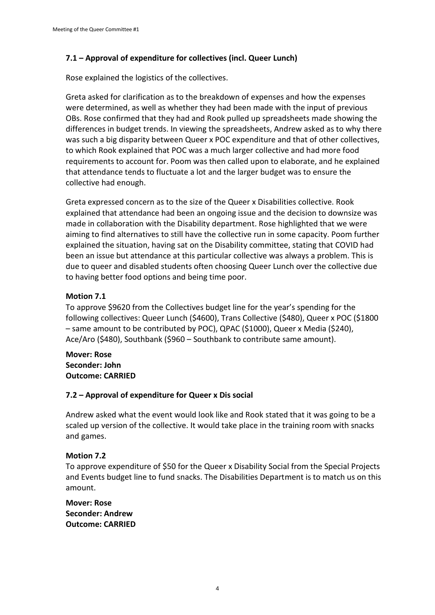# **7.1 – Approval of expenditure for collectives (incl. Queer Lunch)**

Rose explained the logistics of the collectives.

Greta asked for clarification as to the breakdown of expenses and how the expenses were determined, as well as whether they had been made with the input of previous OBs. Rose confirmed that they had and Rook pulled up spreadsheets made showing the differences in budget trends. In viewing the spreadsheets, Andrew asked as to why there was such a big disparity between Queer x POC expenditure and that of other collectives, to which Rook explained that POC was a much larger collective and had more food requirements to account for. Poom was then called upon to elaborate, and he explained that attendance tends to fluctuate a lot and the larger budget was to ensure the collective had enough.

Greta expressed concern as to the size of the Queer x Disabilities collective. Rook explained that attendance had been an ongoing issue and the decision to downsize was made in collaboration with the Disability department. Rose highlighted that we were aiming to find alternatives to still have the collective run in some capacity. Poom further explained the situation, having sat on the Disability committee, stating that COVID had been an issue but attendance at this particular collective was always a problem. This is due to queer and disabled students often choosing Queer Lunch over the collective due to having better food options and being time poor.

# **Motion 7.1**

To approve \$9620 from the Collectives budget line for the year's spending for the following collectives: Queer Lunch (\$4600), Trans Collective (\$480), Queer x POC (\$1800 – same amount to be contributed by POC), QPAC (\$1000), Queer x Media (\$240), Ace/Aro (\$480), Southbank (\$960 – Southbank to contribute same amount).

**Mover: Rose Seconder: John Outcome: CARRIED**

# **7.2 – Approval of expenditure for Queer x Dis social**

Andrew asked what the event would look like and Rook stated that it was going to be a scaled up version of the collective. It would take place in the training room with snacks and games.

# **Motion 7.2**

To approve expenditure of \$50 for the Queer x Disability Social from the Special Projects and Events budget line to fund snacks. The Disabilities Department is to match us on this amount.

**Mover: Rose Seconder: Andrew Outcome: CARRIED**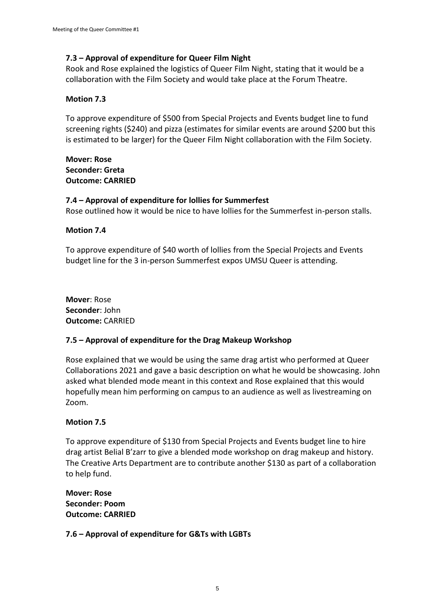# **7.3 – Approval of expenditure for Queer Film Night**

Rook and Rose explained the logistics of Queer Film Night, stating that it would be a collaboration with the Film Society and would take place at the Forum Theatre.

### **Motion 7.3**

To approve expenditure of \$500 from Special Projects and Events budget line to fund screening rights (\$240) and pizza (estimates for similar events are around \$200 but this is estimated to be larger) for the Queer Film Night collaboration with the Film Society.

**Mover: Rose Seconder: Greta Outcome: CARRIED**

# **7.4 – Approval of expenditure for lollies for Summerfest**

Rose outlined how it would be nice to have lollies for the Summerfest in-person stalls.

#### **Motion 7.4**

To approve expenditure of \$40 worth of lollies from the Special Projects and Events budget line for the 3 in-person Summerfest expos UMSU Queer is attending.

**Mover**: Rose **Seconder**: John **Outcome:** CARRIED

#### **7.5 – Approval of expenditure for the Drag Makeup Workshop**

Rose explained that we would be using the same drag artist who performed at Queer Collaborations 2021 and gave a basic description on what he would be showcasing. John asked what blended mode meant in this context and Rose explained that this would hopefully mean him performing on campus to an audience as well as livestreaming on Zoom.

#### **Motion 7.5**

To approve expenditure of \$130 from Special Projects and Events budget line to hire drag artist Belial B'zarr to give a blended mode workshop on drag makeup and history. The Creative Arts Department are to contribute another \$130 as part of a collaboration to help fund.

**Mover: Rose Seconder: Poom Outcome: CARRIED**

**7.6 – Approval of expenditure for G&Ts with LGBTs**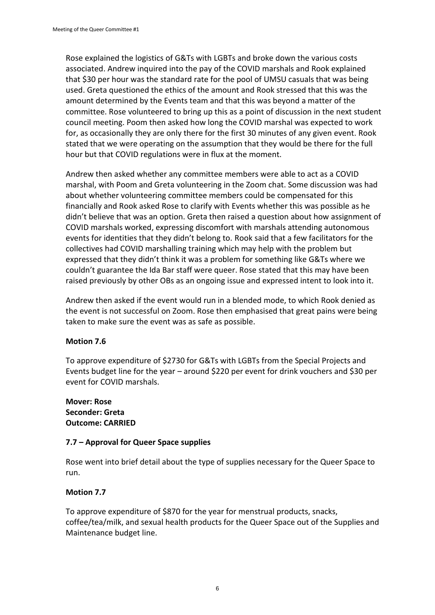Rose explained the logistics of G&Ts with LGBTs and broke down the various costs associated. Andrew inquired into the pay of the COVID marshals and Rook explained that \$30 per hour was the standard rate for the pool of UMSU casuals that was being used. Greta questioned the ethics of the amount and Rook stressed that this was the amount determined by the Events team and that this was beyond a matter of the committee. Rose volunteered to bring up this as a point of discussion in the next student council meeting. Poom then asked how long the COVID marshal was expected to work for, as occasionally they are only there for the first 30 minutes of any given event. Rook stated that we were operating on the assumption that they would be there for the full hour but that COVID regulations were in flux at the moment.

Andrew then asked whether any committee members were able to act as a COVID marshal, with Poom and Greta volunteering in the Zoom chat. Some discussion was had about whether volunteering committee members could be compensated for this financially and Rook asked Rose to clarify with Events whether this was possible as he didn't believe that was an option. Greta then raised a question about how assignment of COVID marshals worked, expressing discomfort with marshals attending autonomous events for identities that they didn't belong to. Rook said that a few facilitators for the collectives had COVID marshalling training which may help with the problem but expressed that they didn't think it was a problem for something like G&Ts where we couldn't guarantee the Ida Bar staff were queer. Rose stated that this may have been raised previously by other OBs as an ongoing issue and expressed intent to look into it.

Andrew then asked if the event would run in a blended mode, to which Rook denied as the event is not successful on Zoom. Rose then emphasised that great pains were being taken to make sure the event was as safe as possible.

# **Motion 7.6**

To approve expenditure of \$2730 for G&Ts with LGBTs from the Special Projects and Events budget line for the year – around \$220 per event for drink vouchers and \$30 per event for COVID marshals.

### **Mover: Rose Seconder: Greta Outcome: CARRIED**

# **7.7 – Approval for Queer Space supplies**

Rose went into brief detail about the type of supplies necessary for the Queer Space to run.

# **Motion 7.7**

To approve expenditure of \$870 for the year for menstrual products, snacks, coffee/tea/milk, and sexual health products for the Queer Space out of the Supplies and Maintenance budget line.